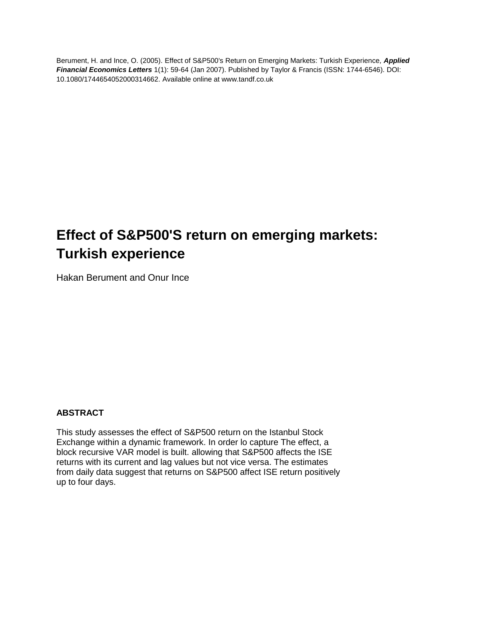Berument, H. and Ince, O. (2005). Effect of S&P500's Return on Emerging Markets: Turkish Experience*, Applied Financial Economics Letters* 1(1): 59-64 (Jan 2007). Published by Taylor & Francis (ISSN: 1744-6546). DOI: 10.1080/1744654052000314662. Available online at www.tandf.co.uk

# **Effect of S&P500'S return on emerging markets: Turkish experience**

Hakan Berument and Onur Ince

# **ABSTRACT**

This study assesses the effect of S&P500 return on the Istanbul Stock Exchange within a dynamic framework. In order lo capture The effect, a block recursive VAR model is built. allowing that S&P500 affects the ISE returns with its current and lag values but not vice versa. The estimates from daily data suggest that returns on S&P500 affect ISE return positively up to four days.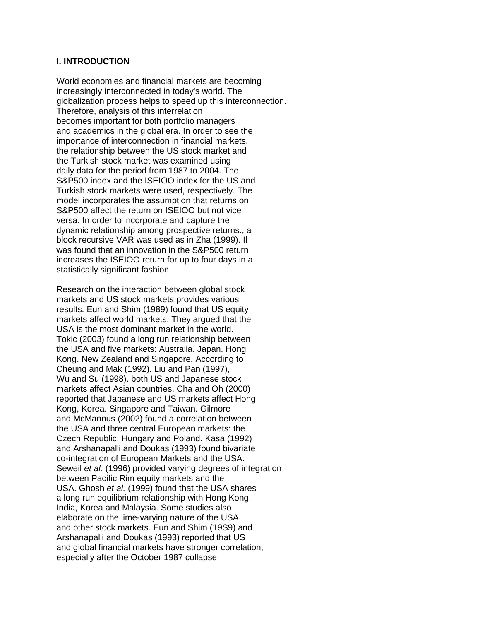#### **I. INTRODUCTION**

World economies and financial markets are becoming increasingly interconnected in today's world. The globalization process helps to speed up this interconnection. Therefore, analysis of this interrelation becomes important for both portfolio managers and academics in the global era. In order to see the importance of interconnection in financial markets. the relationship between the US stock market and the Turkish stock market was examined using daily data for the period from 1987 to 2004. The S&P500 index and the ISEIOO index for the US and Turkish stock markets were used, respectively. The model incorporates the assumption that returns on S&P500 affect the return on ISEIOO but not vice versa. In order to incorporate and capture the dynamic relationship among prospective returns., a block recursive VAR was used as in Zha (1999). Il was found that an innovation in the S&P500 return increases the ISEIOO return for up to four days in a statistically significant fashion.

Research on the interaction between global stock markets and US stock markets provides various results. Eun and Shim (1989) found that US equity markets affect world markets. They argued that the USA is the most dominant market in the world. Tokic (2003) found a long run relationship between the USA and five markets: Australia. Japan. Hong Kong. New Zealand and Singapore. According to Cheung and Mak (1992). Liu and Pan (1997), Wu and Su (1998). both US and Japanese stock markets affect Asian countries. Cha and Oh (2000) reported that Japanese and US markets affect Hong Kong, Korea. Singapore and Taiwan. Gilmore and McMannus (2002) found a correlation between the USA and three central European markets: the Czech Republic. Hungary and Poland. Kasa (1992) and Arshanapalli and Doukas (1993) found bivariate co-integration of European Markets and the USA. Seweil *et al.* (1996) provided varying degrees of integration between Pacific Rim equity markets and the USA. Ghosh *et al.* (1999) found that the USA shares a long run equilibrium relationship with Hong Kong, India, Korea and Malaysia. Some studies also elaborate on the lime-varying nature of the USA and other stock markets. Eun and Shim (19S9) and Arshanapalli and Doukas (1993) reported that US and global financial markets have stronger correlation, especially after the October 1987 collapse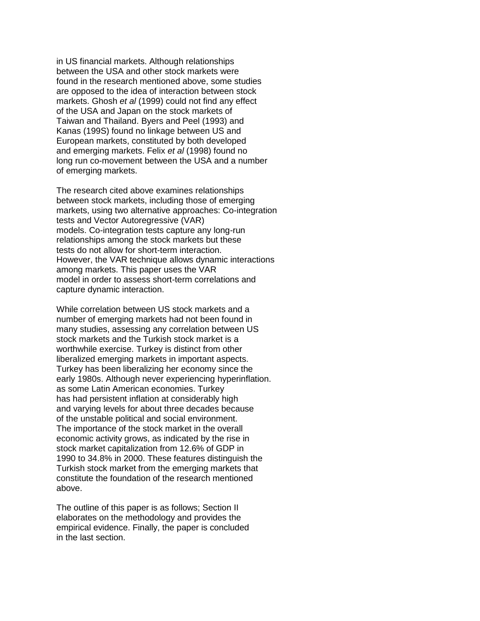in US financial markets. Although relationships between the USA and other stock markets were found in the research mentioned above, some studies are opposed to the idea of interaction between stock markets. Ghosh *et al* (1999) could not find any effect of the USA and Japan on the stock markets of Taiwan and Thailand. Byers and Peel (1993) and Kanas (199S) found no linkage between US and European markets, constituted by both developed and emerging markets. Felix *et al* (1998) found no long run co-movement between the USA and a number of emerging markets.

The research cited above examines relationships between stock markets, including those of emerging markets, using two alternative approaches: Co-integration tests and Vector Autoregressive (VAR) models. Co-integration tests capture any long-run relationships among the stock markets but these tests do not allow for short-term interaction. However, the VAR technique allows dynamic interactions among markets. This paper uses the VAR model in order to assess short-term correlations and capture dynamic interaction.

While correlation between US stock markets and a number of emerging markets had not been found in many studies, assessing any correlation between US stock markets and the Turkish stock market is a worthwhile exercise. Turkey is distinct from other liberalized emerging markets in important aspects. Turkey has been liberalizing her economy since the early 1980s. Although never experiencing hyperinflation. as some Latin American economies. Turkey has had persistent inflation at considerably high and varying levels for about three decades because of the unstable political and social environment. The importance of the stock market in the overall economic activity grows, as indicated by the rise in stock market capitalization from 12.6% of GDP in 1990 to 34.8% in 2000. These features distinguish the Turkish stock market from the emerging markets that constitute the foundation of the research mentioned above.

The outline of this paper is as follows; Section II elaborates on the methodology and provides the empirical evidence. Finally, the paper is concluded in the last section.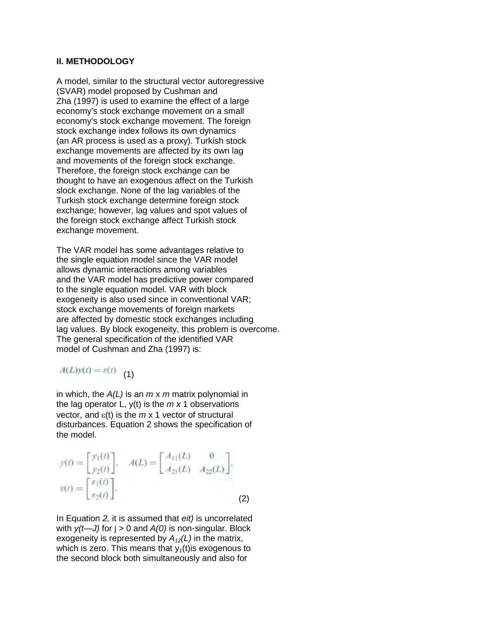#### **II. METHODOLOGY**

A model, similar to the structural vector autoregressive (SVAR) model proposed by Cushman and Zha (1997) is used to examine the effect of a large economy's stock exchange movement on a small economy's stock exchange movement. The foreign stock exchange index follows its own dynamics (an AR process is used as a proxy). Turkish stock exchange movements are affected by its own lag and movements of the foreign stock exchange. Therefore, the foreign stock exchange can be thought to have an exogenous affect on the Turkish slock exchange. None of the lag variables of the Turkish stock exchange determine foreign stock exchange; however, lag values and spot values of the foreign stock exchange affect Turkish stock exchange movement.

The VAR model has some advantages relative to the single equation model since the VAR model allows dynamic interactions among variables and the VAR model has predictive power compared to the single equation model. VAR with block exogeneity is also used since in conventional VAR; stock exchange movements of foreign markets are affected by domestic stock exchanges including lag values. By block exogeneity, this problem is overcome. The general specification of the identified VAR model of Cushman and Zha (1997) is:

$$
A(L)y(t) = \varepsilon(t) \tag{1}
$$

in which, the *A(L)* is an *m* x *m* matrix polynomial in the lag operator L, y(t) is the *m x* 1 observations vector, and  $\varepsilon(t)$  is the  $m \times 1$  vector of structural disturbances. Equation 2 shows the specification of the model.

$$
y(t) = \begin{bmatrix} y_1(t) \\ y_2(t) \end{bmatrix}, \quad A(L) = \begin{bmatrix} A_{11}(L) & 0 \\ A_{21}(L) & A_{22}(L) \end{bmatrix},
$$

$$
\varepsilon(t) = \begin{bmatrix} \varepsilon_1(t) \\ \varepsilon_2(t) \end{bmatrix}.
$$
(2)

In Equation *2,* it is assumed that *eit)* is uncorrelated with *y(t—J)* for j > 0 and *A(0)* is non-singular. Block exogeneity is represented by *A12(L)* in the matrix, which is zero. This means that  $y_1(t)$  is exogenous to the second block both simultaneously and also for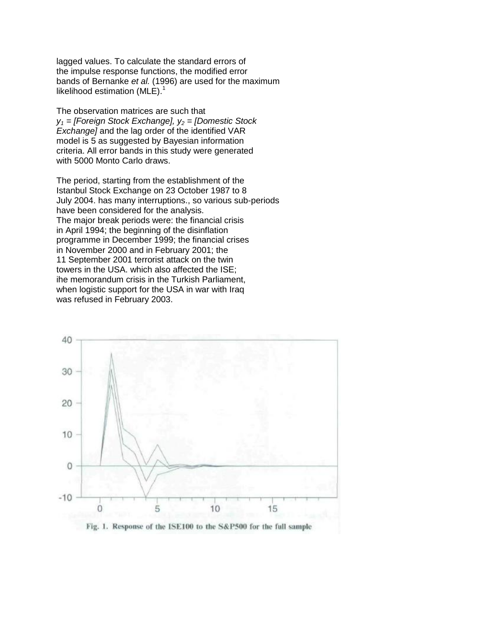lagged values. To calculate the standard errors of the impulse response functions, the modified error bands of Bernanke *et al.* (1996) are used for the maximum likelihood estimation (MLE). $1$ 

The observation matrices are such that *y<sup>1</sup> = [Foreign Stock Exchange], y<sup>2</sup> = [Domestic Stock Exchange]* and the lag order of the identified VAR model is 5 as suggested by Bayesian information criteria. All error bands in this study were generated with 5000 Monto Carlo draws.

The period, starting from the establishment of the Istanbul Stock Exchange on 23 October 1987 to 8 July 2004. has many interruptions., so various sub-periods have been considered for the analysis. The major break periods were: the financial crisis in April 1994; the beginning of the disinflation programme in December 1999; the financial crises in November 2000 and in February 2001; the 11 September 2001 terrorist attack on the twin towers in the USA. which also affected the ISE; ihe memorandum crisis in the Turkish Parliament, when logistic support for the USA in war with Iraq was refused in February 2003.

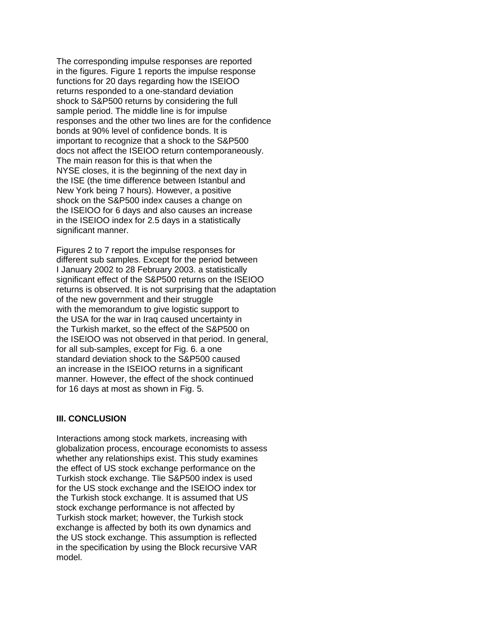The corresponding impulse responses are reported in the figures. Figure 1 reports the impulse response functions for 20 days regarding how the ISEIOO returns responded to a one-standard deviation shock to S&P500 returns by considering the full sample period. The middle line is for impulse responses and the other two lines are for the confidence bonds at 90% level of confidence bonds. It is important to recognize that a shock to the S&P500 docs not affect the ISEIOO return contemporaneously. The main reason for this is that when the NYSE closes, it is the beginning of the next day in the ISE (the time difference between Istanbul and New York being 7 hours). However, a positive shock on the S&P500 index causes a change on the ISEIOO for 6 days and also causes an increase in the ISEIOO index for 2.5 days in a statistically significant manner.

Figures 2 to 7 report the impulse responses for different sub samples. Except for the period between I January 2002 to 28 February 2003. a statistically significant effect of the S&P500 returns on the ISEIOO returns is observed. It is not surprising that the adaptation of the new government and their struggle with the memorandum to give logistic support to the USA for the war in Iraq caused uncertainty in the Turkish market, so the effect of the S&P500 on the ISEIOO was not observed in that period. In general, for all sub-samples, except for Fig. 6. a one standard deviation shock to the S&P500 caused an increase in the ISEIOO returns in a significant manner. However, the effect of the shock continued for 16 days at most as shown in Fig. 5.

#### **III. CONCLUSION**

Interactions among stock markets, increasing with globalization process, encourage economists to assess whether any relationships exist. This study examines the effect of US stock exchange performance on the Turkish stock exchange. Tlie S&P500 index is used for the US stock exchange and the ISEIOO index tor the Turkish stock exchange. It is assumed that US stock exchange performance is not affected by Turkish stock market; however, the Turkish stock exchange is affected by both its own dynamics and the US stock exchange. This assumption is reflected in the specification by using the Block recursive VAR model.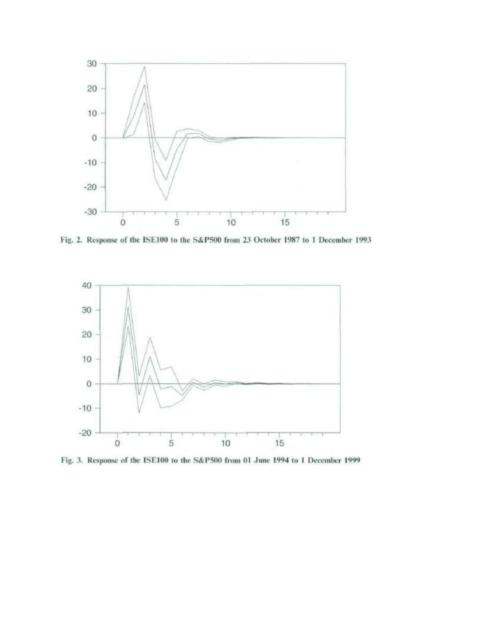

Fig. 2. Response of the ISE100 to the S&P500 from 23 October 1987 to 1 December 1993



Fig. 3. Response of the ISE100 to the S&P500 from 01 June 1994 to 1 December 1999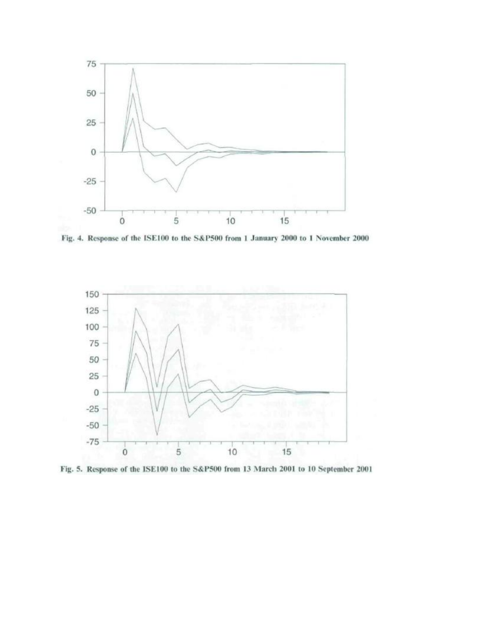

Fig. 4. Response of the ISE100 to the S&P500 from 1 January 2000 to 1 November 2000



Fig. 5. Response of the ISE100 to the S&P500 from 13 March 2001 to 10 September 2001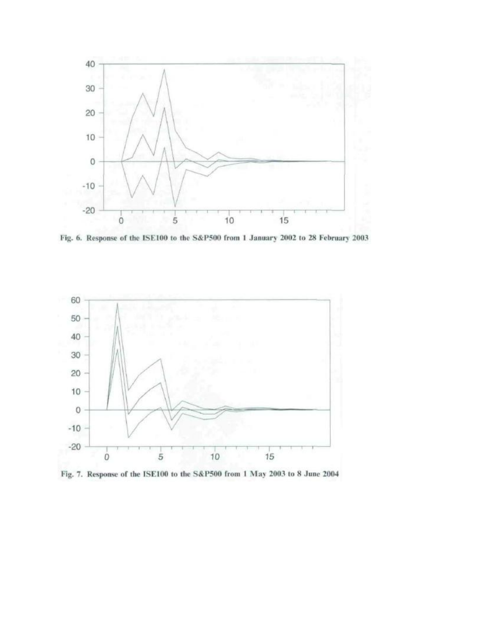

Fig. 6. Response of the ISE100 to the S&P500 from 1 January 2002 to 28 February 2003



Fig. 7. Response of the ISE100 to the S&P500 from 1 May 2003 to 8 June 2004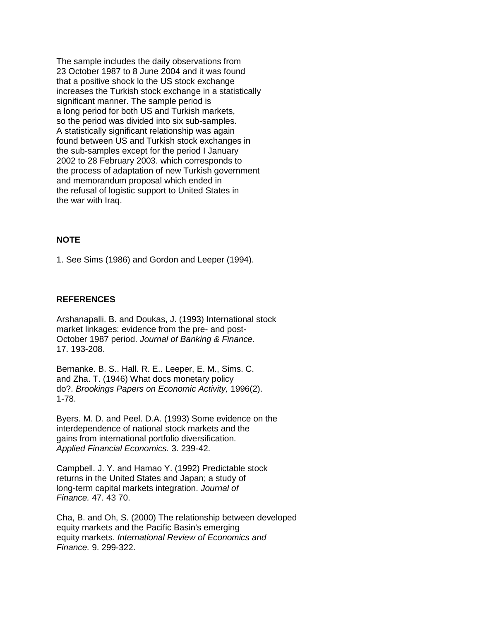The sample includes the daily observations from 23 October 1987 to 8 June 2004 and it was found that a positive shock lo the US stock exchange increases the Turkish stock exchange in a statistically significant manner. The sample period is a long period for both US and Turkish markets, so the period was divided into six sub-samples. A statistically significant relationship was again found between US and Turkish stock exchanges in the sub-samples except for the period I January 2002 to 28 February 2003. which corresponds to the process of adaptation of new Turkish government and memorandum proposal which ended in the refusal of logistic support to United States in the war with Iraq.

## **NOTE**

1. See Sims (1986) and Gordon and Leeper (1994).

## **REFERENCES**

Arshanapalli. B. and Doukas, J. (1993) International stock market linkages: evidence from the pre- and post-October 1987 period. *Journal of Banking & Finance.* 17. 193-208.

Bernanke. B. S.. Hall. R. E.. Leeper, E. M., Sims. C. and Zha. T. (1946) What docs monetary policy do?. *Brookings Papers on Economic Activity,* 1996(2). 1-78.

Byers. M. D. and Peel. D.A. (1993) Some evidence on the interdependence of national stock markets and the gains from international portfolio diversification. *Applied Financial Economics.* 3. 239-42.

Campbell. J. Y. and Hamao Y. (1992) Predictable stock returns in the United States and Japan; a study of long-term capital markets integration. *Journal of Finance.* 47. 43 70.

Cha, B. and Oh, S. (2000) The relationship between developed equity markets and the Pacific Basin's emerging equity markets. *International Review of Economics and Finance.* 9. 299-322.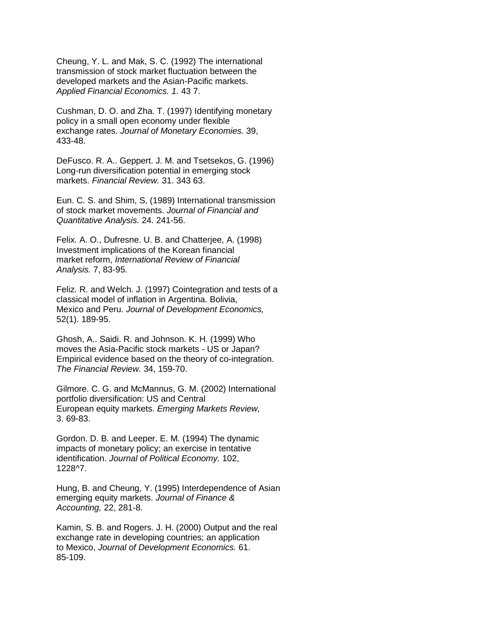Cheung, Y. L. and Mak, S. C. (1992) The international transmission of stock market fluctuation between the developed markets and the Asian-Pacific markets. *Applied Financial Economics. 1.* 43 7.

Cushman, D. O. and Zha. T. (1997) Identifying monetary policy in a small open economy under flexible exchange rates. *Journal of Monetary Economies.* 39, 433-48.

DeFusco. R. A.. Geppert. J. M. and Tsetsekos, G. (1996) Long-run diversification potential in emerging stock markets. *Financial Review.* 31. 343 63.

Eun. C. S. and Shim, S, (1989) International transmission of stock market movements. *Journal of Financial and Quantitative Analysis.* 24. 241-56.

Felix. A. O., Dufresne. U. B. and Chatterjee, A. (1998) Investment implications of the Korean financial market reform, *International Review of Financial Analysis.* 7, 83-95.

Feliz. R. and Welch. J. (1997) Cointegration and tests of a classical model of inflation in Argentina. Bolivia, Mexico and Peru. *Journal of Development Economics,* 52(1). 189-95.

Ghosh, A.. Saidi. R. and Johnson. K. H. (1999) Who moves the Asia-Pacific stock markets - US or Japan? Empirical evidence based on the theory of co-integration. *The Financial Review.* 34, 159-70.

Gilmore. C. G. and McMannus, G. M. (2002) International portfolio diversification: US and Central European equity markets. *Emerging Markets Review,* 3. 69-83.

Gordon. D. B. and Leeper. E. M. (1994) The dynamic impacts of monetary policy; an exercise in tentative identification. *Journal of Political Economy.* 102, 1228^7.

Hung, B. and Cheung, Y. (1995) Interdependence of Asian emerging equity markets. *Journal of Finance & Accounting,* 22, 281-8.

Kamin, S. B. and Rogers. J. H. (2000) Output and the real exchange rate in developing countries; an application to Mexico, *Journal of Development Economics.* 61. 85-109.